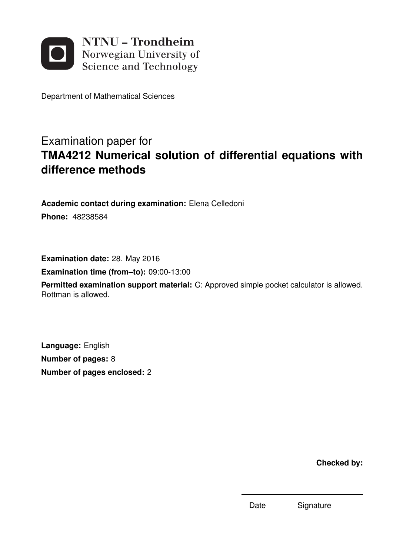

Department of Mathematical Sciences

# Examination paper for **TMA4212 Numerical solution of differential equations with difference methods**

**Academic contact during examination:** Elena Celledoni **Phone:** 48238584

**Examination date:** 28. May 2016 **Examination time (from–to):** 09:00-13:00 **Permitted examination support material:** C: Approved simple pocket calculator is allowed. Rottman is allowed.

**Language:** English **Number of pages:** 8 **Number of pages enclosed:** 2

**Checked by:**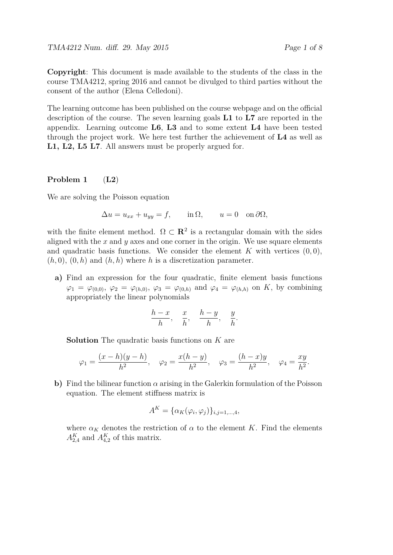TMA4212 Num. diff. 29. May 2015 Page 1 of 8

**Copyright**: This document is made available to the students of the class in the course TMA4212, spring 2016 and cannot be divulged to third parties without the consent of the author (Elena Celledoni).

The learning outcome has been published on the course webpage and on the official description of the course. The seven learning goals **L1** to **L7** are reported in the appendix. Learning outcome **L6**, **L3** and to some extent **L4** have been tested through the project work. We here test further the achievement of **L4** as well as **L1, L2, L5 L7**. All answers must be properly argued for.

#### **Problem 1** (**L2**)

We are solving the Poisson equation

$$
\Delta u = u_{xx} + u_{yy} = f, \qquad \text{in } \Omega, \qquad u = 0 \quad \text{on } \partial \Omega,
$$

with the finite element method.  $\Omega \subset \mathbb{R}^2$  is a rectangular domain with the sides aligned with the  $x$  and  $y$  axes and one corner in the origin. We use square elements and quadratic basis functions. We consider the element  $K$  with vertices  $(0,0)$ ,  $(h, 0), (0, h)$  and  $(h, h)$  where h is a discretization parameter.

**a)** Find an expression for the four quadratic, finite element basis functions  $\varphi_1 = \varphi_{(0,0)}, \varphi_2 = \varphi_{(h,0)}, \varphi_3 = \varphi_{(0,h)}$  and  $\varphi_4 = \varphi_{(h,h)}$  on *K*, by combining appropriately the linear polynomials

$$
\frac{h-x}{h}, \quad \frac{x}{h}, \quad \frac{h-y}{h}, \quad \frac{y}{h}.
$$

**Solution** The quadratic basis functions on *K* are

$$
\varphi_1 = \frac{(x-h)(y-h)}{h^2}, \quad \varphi_2 = \frac{x(h-y)}{h^2}, \quad \varphi_3 = \frac{(h-x)y}{h^2}, \quad \varphi_4 = \frac{xy}{h^2}.
$$

**b)** Find the bilinear function *α* arising in the Galerkin formulation of the Poisson equation. The element stiffness matrix is

$$
A^K = {\alpha_K(\varphi_i, \varphi_j)}_{i,j=1,\dots,4},
$$

where  $\alpha_K$  denotes the restriction of  $\alpha$  to the element *K*. Find the elements  $A_{2,4}^K$  and  $A_{4,2}^K$  of this matrix.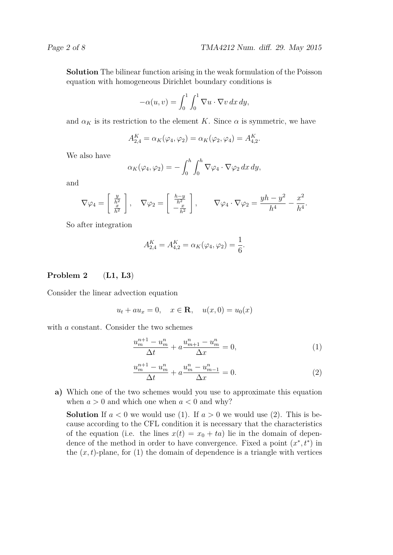**Solution** The bilinear function arising in the weak formulation of the Poisson equation with homogeneous Dirichlet boundary conditions is

$$
-\alpha(u,v) = \int_0^1 \int_0^1 \nabla u \cdot \nabla v \, dx \, dy,
$$

and  $\alpha_K$  is its restriction to the element *K*. Since  $\alpha$  is symmetric, we have

$$
A_{2,4}^K = \alpha_K(\varphi_4, \varphi_2) = \alpha_K(\varphi_2, \varphi_4) = A_{4,2}^K.
$$

We also have

$$
\alpha_K(\varphi_4, \varphi_2) = -\int_0^h \int_0^h \nabla \varphi_4 \cdot \nabla \varphi_2 \, dx \, dy,
$$

and

$$
\nabla \varphi_4 = \begin{bmatrix} \frac{y}{h^2} \\ \frac{x}{h^2} \end{bmatrix}, \quad \nabla \varphi_2 = \begin{bmatrix} \frac{h-y}{h^2} \\ -\frac{x}{h^2} \end{bmatrix}, \qquad \nabla \varphi_4 \cdot \nabla \varphi_2 = \frac{yh - y^2}{h^4} - \frac{x^2}{h^4}.
$$

So after integration

$$
A_{2,4}^K = A_{4,2}^K = \alpha_K(\varphi_4, \varphi_2) = \frac{1}{6}.
$$

### **Problem 2** (**L1, L3**)

Consider the linear advection equation

$$
u_t + au_x = 0
$$
,  $x \in \mathbf{R}$ ,  $u(x, 0) = u_0(x)$ 

with *a* constant. Consider the two schemes

$$
\frac{u_m^{n+1} - u_m^n}{\Delta t} + a \frac{u_{m+1}^n - u_m^n}{\Delta x} = 0,\tag{1}
$$

$$
\frac{u_m^{n+1} - u_m^n}{\Delta t} + a \frac{u_m^n - u_{m-1}^n}{\Delta x} = 0.
$$
 (2)

**a)** Which one of the two schemes would you use to approximate this equation when  $a > 0$  and which one when  $a < 0$  and why?

**Solution** If  $a < 0$  we would use (1). If  $a > 0$  we would use (2). This is because according to the CFL condition it is necessary that the characteristics of the equation (i.e. the lines  $x(t) = x_0 + ta$ ) lie in the domain of dependence of the method in order to have convergence. Fixed a point  $(x^*, t^*)$  in the  $(x, t)$ -plane, for  $(1)$  the domain of dependence is a triangle with vertices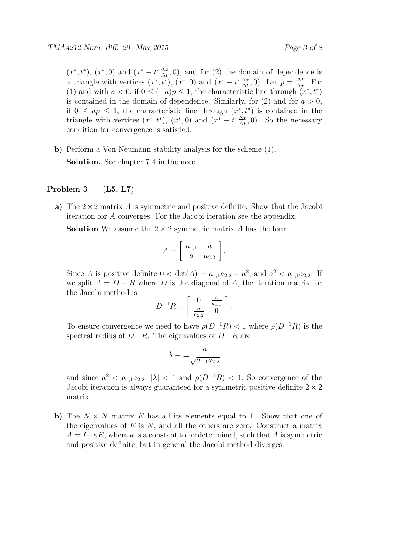$(x^*, t^*), (x^*, 0)$  and  $(x^* + t^* \frac{\Delta x}{\Delta t})$  $\frac{\Delta x}{\Delta t}$ , 0), and for (2) the domain of dependence is a triangle with vertices  $(x^*, t^*)$ ,  $(x^*, 0)$  and  $(x^* - t^* \frac{\Delta x}{\Delta t})$  $\frac{\Delta x}{\Delta t}$ , 0). Let  $p = \frac{\Delta t}{\Delta x}$  $\frac{\Delta t}{\Delta x}$ . For (1) and with  $a < 0$ , if  $0 \leq (-a)p \leq 1$ , the characteristic line through  $(x^*, t^*)$ is contained in the domain of dependence. Similarly, for  $(2)$  and for  $a > 0$ , if  $0 \leq ap \leq 1$ , the characteristic line through  $(x^*, t^*)$  is contained in the triangle with vertices  $(x^*, t^*)$ ,  $(x^*, 0)$  and  $(x^* - t^* \frac{\Delta x}{\Delta t})$  $\frac{\Delta x}{\Delta t}$ , 0). So the necessary condition for convergence is satisfied.

**b)** Perform a Von Neumann stability analysis for the scheme (1). **Solution.** See chapter 7.4 in the note.

#### **Problem 3** (**L5, L7**)

**a)** The 2×2 matrix *A* is symmetric and positive definite. Show that the Jacobi iteration for *A* converges. For the Jacobi iteration see the appendix.

**Solution** We assume the  $2 \times 2$  symmetric matrix *A* has the form

$$
A = \left[ \begin{array}{cc} a_{1,1} & a \\ a & a_{2,2} \end{array} \right].
$$

Since *A* is positive definite  $0 < \det(A) = a_{1,1}a_{2,2} - a^2$ , and  $a^2 < a_{1,1}a_{2,2}$ . If we split  $A = D - R$  where *D* is the diagonal of *A*, the iteration matrix for the Jacobi method is

$$
D^{-1}R = \left[ \begin{array}{cc} 0 & \frac{a}{a_{1,1}} \\ \frac{a}{a_{2,2}} & 0 \end{array} \right].
$$

To ensure convergence we need to have  $\rho(D^{-1}R) < 1$  where  $\rho(D^{-1}R)$  is the spectral radius of  $D^{-1}R$ . The eigenvalues of  $D^{-1}R$  are

$$
\lambda = \pm \frac{a}{\sqrt{a_{1,1}a_{2,2}}}
$$

and since  $a^2 < a_{1,1}a_{2,2}$ ,  $|\lambda| < 1$  and  $\rho(D^{-1}R) < 1$ . So convergence of the Jacobi iteration is always guaranteed for a symmetric positive definite  $2 \times 2$ matrix.

**b**) The  $N \times N$  matrix  $E$  has all its elements equal to 1. Show that one of the eigenvalues of *E* is *N*, and all the others are zero. Construct a matrix  $A = I + \kappa E$ , where  $\kappa$  is a constant to be determined, such that A is symmetric and positive definite, but in general the Jacobi method diverges.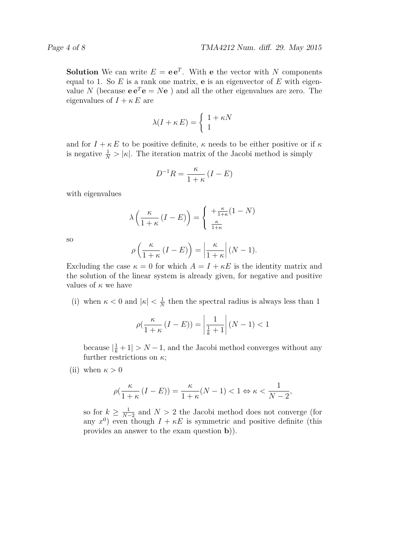**Solution** We can write  $E = e e^T$ . With **e** the vector with *N* components equal to 1. So *E* is a rank one matrix, **e** is an eigenvector of *E* with eigenvalue *N* (because  $e e^T e = Ne$ ) and all the other eigenvalues are zero. The eigenvalues of  $I + \kappa E$  are

$$
\lambda(I + \kappa E) = \begin{cases} 1 + \kappa N \\ 1 \end{cases}
$$

and for  $I + \kappa E$  to be positive definite,  $\kappa$  needs to be either positive or if  $\kappa$ is negative  $\frac{1}{N}$  >  $|\kappa|$ . The iteration matrix of the Jacobi method is simply

$$
D^{-1}R = \frac{\kappa}{1+\kappa} \left( I - E \right)
$$

with eigenvalues

$$
\lambda \left( \frac{\kappa}{1+\kappa} \left( I - E \right) \right) = \begin{cases} +\frac{\kappa}{1+\kappa} (1-N) \\ \frac{\kappa}{1+\kappa} \end{cases}
$$

so

$$
\rho\left(\frac{\kappa}{1+\kappa}(I-E)\right) = \left|\frac{\kappa}{1+\kappa}\right|(N-1).
$$

Excluding the case  $\kappa = 0$  for which  $A = I + \kappa E$  is the identity matrix and the solution of the linear system is already given, for negative and positive values of *κ* we have

(i) when  $\kappa < 0$  and  $|\kappa| < \frac{1}{\lambda}$  $\frac{1}{N}$  then the spectral radius is always less than 1

$$
\rho\left(\frac{\kappa}{1+\kappa}\left(I-E\right)\right) = \left|\frac{1}{\frac{1}{k}+1}\right| (N-1) < 1
$$

because  $\left|\frac{1}{k} + 1\right| > N - 1$ , and the Jacobi method converges without any further restrictions on *κ*;

(ii) when  $\kappa > 0$ 

$$
\rho(\frac{\kappa}{1+\kappa}\left(I-E\right))=\frac{\kappa}{1+\kappa}(N-1)<1\Leftrightarrow \kappa<\frac{1}{N-2},
$$

so for  $k \geq \frac{1}{N-1}$  $\frac{1}{N-2}$  and  $N > 2$  the Jacobi method does not converge (for any  $x^0$ ) even though  $I + \kappa E$  is symmetric and positive definite (this provides an answer to the exam question **b**)).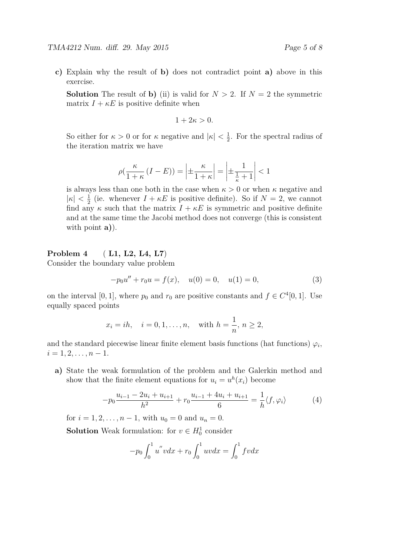**c)** Explain why the result of **b)** does not contradict point **a)** above in this exercise.

**Solution** The result of **b**) (ii) is valid for  $N > 2$ . If  $N = 2$  the symmetric matrix  $I + \kappa E$  is positive definite when

$$
1+2\kappa>0.
$$

So either for  $\kappa > 0$  or for  $\kappa$  negative and  $|\kappa| < \frac{1}{2}$  $\frac{1}{2}$ . For the spectral radius of the iteration matrix we have

$$
\rho\left(\frac{\kappa}{1+\kappa}\left(I-E\right)\right) = \left|\pm\frac{\kappa}{1+\kappa}\right| = \left|\pm\frac{1}{\frac{1}{\kappa}+1}\right| < 1
$$

is always less than one both in the case when  $\kappa > 0$  or when  $\kappa$  negative and  $|\kappa| < \frac{1}{2}$  $\frac{1}{2}$  (ie. whenever  $I + \kappa E$  is positive definite). So if  $N = 2$ , we cannot find any  $\kappa$  such that the matrix  $I + \kappa E$  is symmetric and positive definite and at the same time the Jacobi method does not converge (this is consistent with point **a)**).

#### **Problem 4** ( **L1, L2, L4, L7**)

Consider the boundary value problem

$$
-p_0u'' + r_0u = f(x), \quad u(0) = 0, \quad u(1) = 0,
$$
\n(3)

on the interval [0, 1], where  $p_0$  and  $r_0$  are positive constants and  $f \in C^4[0, 1]$ . Use equally spaced points

$$
x_i = ih, \quad i = 0, 1, ..., n, \text{ with } h = \frac{1}{n}, n \ge 2,
$$

and the standard piecewise linear finite element basis functions (hat functions)  $\varphi_i$ ,  $i = 1, 2, \ldots, n - 1.$ 

**a)** State the weak formulation of the problem and the Galerkin method and show that the finite element equations for  $u_i = u^h(x_i)$  become

$$
-p_0 \frac{u_{i-1} - 2u_i + u_{i+1}}{h^2} + r_0 \frac{u_{i-1} + 4u_i + u_{i+1}}{6} = \frac{1}{h} \langle f, \varphi_i \rangle \tag{4}
$$

for  $i = 1, 2, ..., n - 1$ , with  $u_0 = 0$  and  $u_n = 0$ .

**Solution** Weak formulation: for  $v \in H_0^1$  consider

$$
-p_0 \int_0^1 u'' v dx + r_0 \int_0^1 u v dx = \int_0^1 f v dx
$$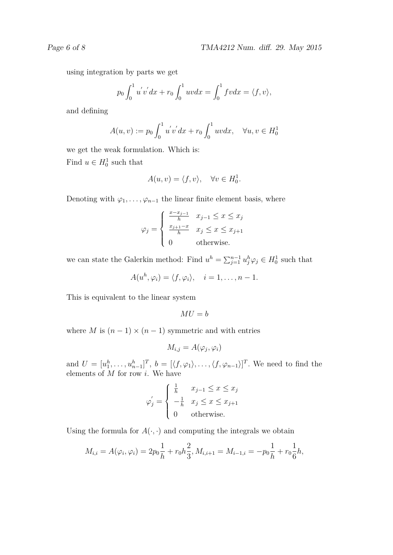using integration by parts we get

$$
p_0 \int_0^1 u'v' dx + r_0 \int_0^1 u v dx = \int_0^1 f v dx = \langle f, v \rangle,
$$

and defining

$$
A(u, v) := p_0 \int_0^1 u'v' dx + r_0 \int_0^1 uv dx, \quad \forall u, v \in H_0^1
$$

we get the weak formulation. Which is: Find  $u \in H_0^1$  such that

$$
A(u, v) = \langle f, v \rangle, \quad \forall v \in H_0^1.
$$

Denoting with  $\varphi_1, \ldots, \varphi_{n-1}$  the linear finite element basis, where

$$
\varphi_j = \begin{cases} \frac{x - x_{j-1}}{h} & x_{j-1} \le x \le x_j\\ \frac{x_{j+1} - x}{h} & x_j \le x \le x_{j+1} \\ 0 & \text{otherwise.} \end{cases}
$$

we can state the Galerkin method: Find  $u^h = \sum_{j=1}^{n-1} u_j^h \varphi_j \in H_0^1$  such that

$$
A(u^h, \varphi_i) = \langle f, \varphi_i \rangle, \quad i = 1, \dots, n-1.
$$

This is equivalent to the linear system

$$
MU = b
$$

where *M* is  $(n-1) \times (n-1)$  symmetric and with entries

$$
M_{i,j} = A(\varphi_j, \varphi_i)
$$

and  $U = [u_1^h, \ldots, u_{n-1}^h]^T$ ,  $b = [\langle f, \varphi_1 \rangle, \ldots, \langle f, \varphi_{n-1} \rangle]^T$ . We need to find the elements of *M* for row *i*. We have

$$
\varphi_j' = \begin{cases} \frac{1}{h} & x_{j-1} \leq x \leq x_j \\ -\frac{1}{h} & x_j \leq x \leq x_{j+1} \\ 0 & \text{otherwise.} \end{cases}
$$

Using the formula for  $A(\cdot, \cdot)$  and computing the integrals we obtain

$$
M_{i,i} = A(\varphi_i, \varphi_i) = 2p_0 \frac{1}{h} + r_0 h \frac{2}{3}, M_{i,i+1} = M_{i-1,i} = -p_0 \frac{1}{h} + r_0 \frac{1}{6} h,
$$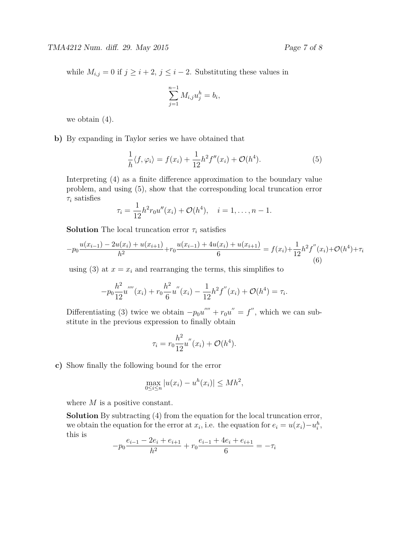while  $M_{i,j} = 0$  if  $j \geq i+2$ ,  $j \leq i-2$ . Substituting these values in

$$
\sum_{j=1}^{n-1} M_{i,j} u_j^h = b_i,
$$

we obtain (4).

**b)** By expanding in Taylor series we have obtained that

$$
\frac{1}{h}\langle f, \varphi_i \rangle = f(x_i) + \frac{1}{12}h^2 f''(x_i) + \mathcal{O}(h^4). \tag{5}
$$

Interpreting (4) as a finite difference approximation to the boundary value problem, and using (5), show that the corresponding local truncation error *τ<sup>i</sup>* satisfies

$$
\tau_i = \frac{1}{12}h^2 r_0 u''(x_i) + \mathcal{O}(h^4), \quad i = 1, \dots, n-1.
$$

**Solution** The local truncation error  $\tau_i$  satisfies

$$
-p_0 \frac{u(x_{i-1}) - 2u(x_i) + u(x_{i+1})}{h^2} + r_0 \frac{u(x_{i-1}) + 4u(x_i) + u(x_{i+1})}{6} = f(x_i) + \frac{1}{12} h^2 f''(x_i) + \mathcal{O}(h^4) + \tau_i
$$
\n(6)

using (3) at  $x = x_i$  and rearranging the terms, this simplifies to

$$
-p_0\frac{h^2}{12}u''''(x_i) + r_0\frac{h^2}{6}u''(x_i) - \frac{1}{12}h^2f''(x_i) + \mathcal{O}(h^4) = \tau_i.
$$

Differentiating (3) twice we obtain  $-p_0u'''' + r_0u'' = f''$ , which we can substitute in the previous expression to finally obtain

$$
\tau_i = r_0 \frac{h^2}{12} u''(x_i) + \mathcal{O}(h^4).
$$

**c)** Show finally the following bound for the error

$$
\max_{0 \le i \le n} |u(x_i) - u^h(x_i)| \le Mh^2,
$$

where *M* is a positive constant.

**Solution** By subtracting (4) from the equation for the local truncation error, we obtain the equation for the error at  $x_i$ , i.e. the equation for  $e_i = u(x_i) - u_i^h$ , this is

$$
-p_0 \frac{e_{i-1} - 2e_i + e_{i+1}}{h^2} + r_0 \frac{e_{i-1} + 4e_i + e_{i+1}}{6} = -\tau_i
$$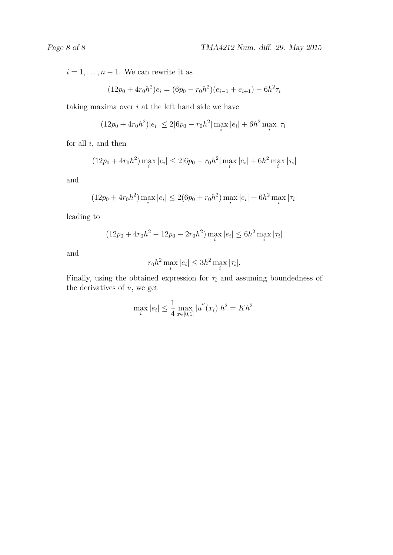$i = 1, \ldots, n - 1$ . We can rewrite it as

$$
(12p_0 + 4r_0h^2)e_i = (6p_0 - r_0h^2)(e_{i-1} + e_{i+1}) - 6h^2\tau_i
$$

taking maxima over *i* at the left hand side we have

$$
(12p_0 + 4r_0h^2)|e_i| \le 2|6p_0 - r_0h^2| \max_i |e_i| + 6h^2 \max_i |\tau_i|
$$

for all *i*, and then

$$
(12p_0 + 4r_0h^2) \max_i |e_i| \le 2|6p_0 - r_0h^2| \max_i |e_i| + 6h^2 \max_i |\tau_i|
$$

and

$$
(12p_0 + 4r_0h^2) \max_i |e_i| \le 2(6p_0 + r_0h^2) \max_i |e_i| + 6h^2 \max_i |\tau_i|
$$

leading to

$$
(12p_0 + 4r_0h^2 - 12p_0 - 2r_0h^2) \max_i |e_i| \le 6h^2 \max_i |\tau_i|
$$

and

$$
r_0 h^2 \max_i |e_i| \le 3h^2 \max_i |\tau_i|.
$$

Finally, using the obtained expression for  $\tau_i$  and assuming boundedness of the derivatives of *u*, we get

$$
\max_{i} |e_i| \le \frac{1}{4} \max_{x \in [0,1]} |u''(x_i)| h^2 = Kh^2.
$$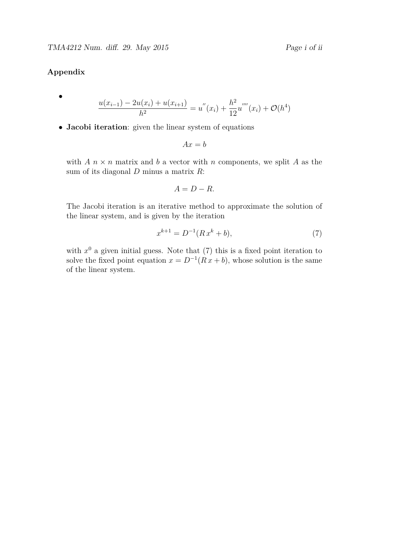### **Appendix**

•

- $u(x_{i-1}) 2u(x_i) + u(x_{i+1})$  $\frac{u(x_i) + u(x_{i+1})}{h^2} = u''(x_i) + \frac{h^2}{12}$ 12  $u^{'}(x_i) + \mathcal{O}(h^4)$
- **Jacobi iteration**: given the linear system of equations

$$
Ax = b
$$

with  $A \, n \times n$  matrix and  $b$  a vector with  $n$  components, we split  $A$  as the sum of its diagonal *D* minus a matrix *R*:

$$
A = D - R.
$$

The Jacobi iteration is an iterative method to approximate the solution of the linear system, and is given by the iteration

$$
x^{k+1} = D^{-1}(Rx^k + b),\tag{7}
$$

with  $x^0$  a given initial guess. Note that  $(7)$  this is a fixed point iteration to solve the fixed point equation  $x = D^{-1}(Rx + b)$ , whose solution is the same of the linear system.